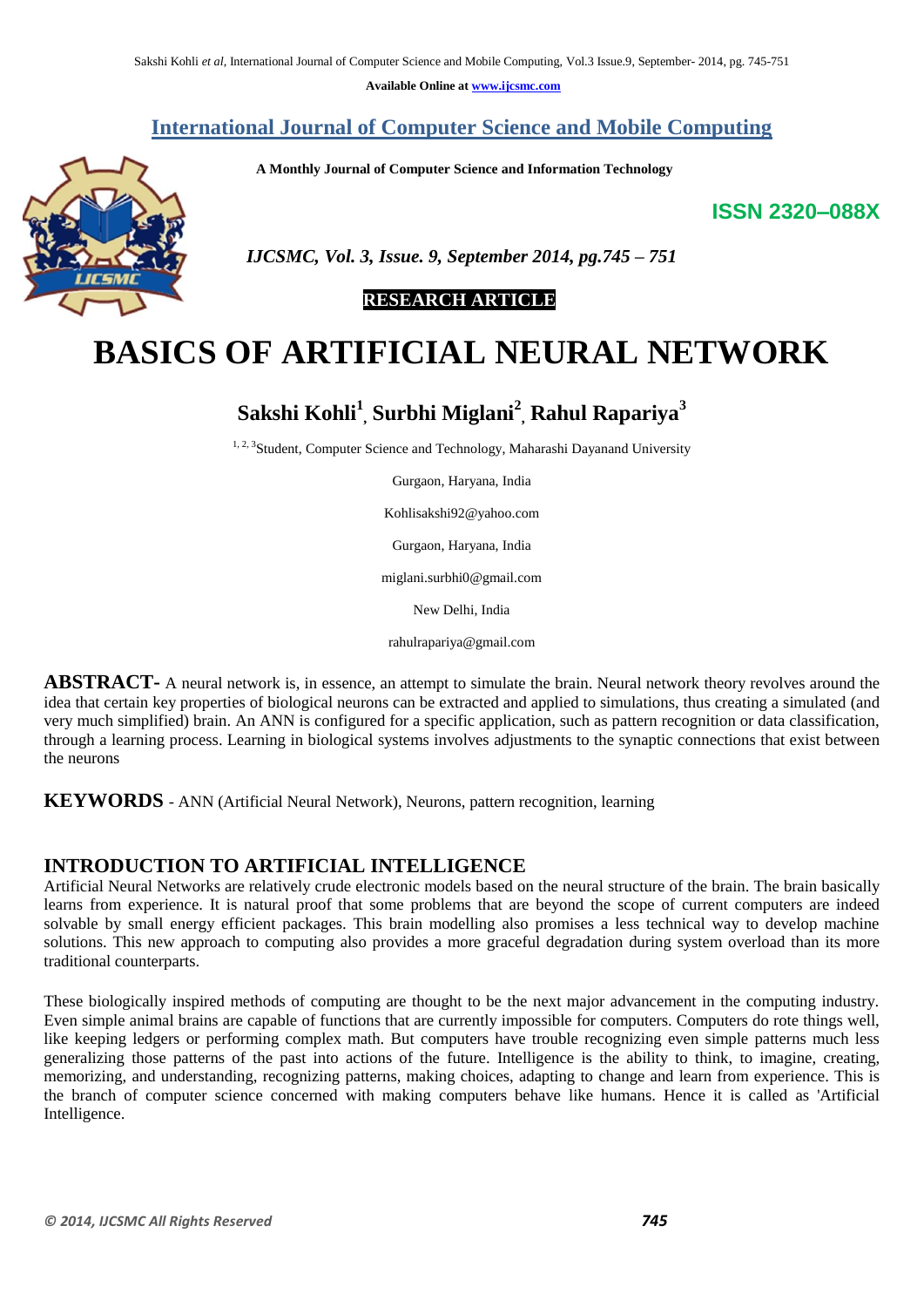**Available Online at www.ijcsmc.com**

# **International Journal of Computer Science and Mobile Computing**

 **A Monthly Journal of Computer Science and Information Technology**

#### **ISSN 2320–088X**



 *IJCSMC, Vol. 3, Issue. 9, September 2014, pg.745 – 751*

#### **RESEARCH ARTICLE**

# **BASICS OF ARTIFICIAL NEURAL NETWORK**

# **Sakshi Kohli<sup>1</sup> , Surbhi Miglani<sup>2</sup> , Rahul Rapariya<sup>3</sup>**

<sup>1, 2, 3</sup> Student, Computer Science and Technology, Maharashi Dayanand University

Gurgaon, Haryana, India

Kohlisakshi92@yahoo.com

Gurgaon, Haryana, India

miglani.surbhi0@gmail.com

New Delhi, India

rahulrapariya@gmail.com

**ABSTRACT-** A neural network is, in essence, an attempt to simulate the brain. Neural network theory revolves around the idea that certain key properties of biological neurons can be extracted and applied to simulations, thus creating a simulated (and very much simplified) brain. An ANN is configured for a specific application, such as pattern recognition or data classification, through a learning process. Learning in biological systems involves adjustments to the synaptic connections that exist between the neurons

**KEYWORDS** - ANN (Artificial Neural Network), Neurons, pattern recognition, learning

#### **INTRODUCTION TO ARTIFICIAL INTELLIGENCE**

Artificial Neural Networks are relatively crude electronic models based on the neural structure of the brain. The brain basically learns from experience. It is natural proof that some problems that are beyond the scope of current computers are indeed solvable by small energy efficient packages. This brain modelling also promises a less technical way to develop machine solutions. This new approach to computing also provides a more graceful degradation during system overload than its more traditional counterparts.

These biologically inspired methods of computing are thought to be the next major advancement in the computing industry. Even simple animal brains are capable of functions that are currently impossible for computers. Computers do rote things well, like keeping ledgers or performing complex math. But computers have trouble recognizing even simple patterns much less generalizing those patterns of the past into actions of the future. Intelligence is the ability to think, to imagine, creating, memorizing, and understanding, recognizing patterns, making choices, adapting to change and learn from experience. This is the branch of computer science concerned with making computers behave like humans. Hence it is called as 'Artificial Intelligence.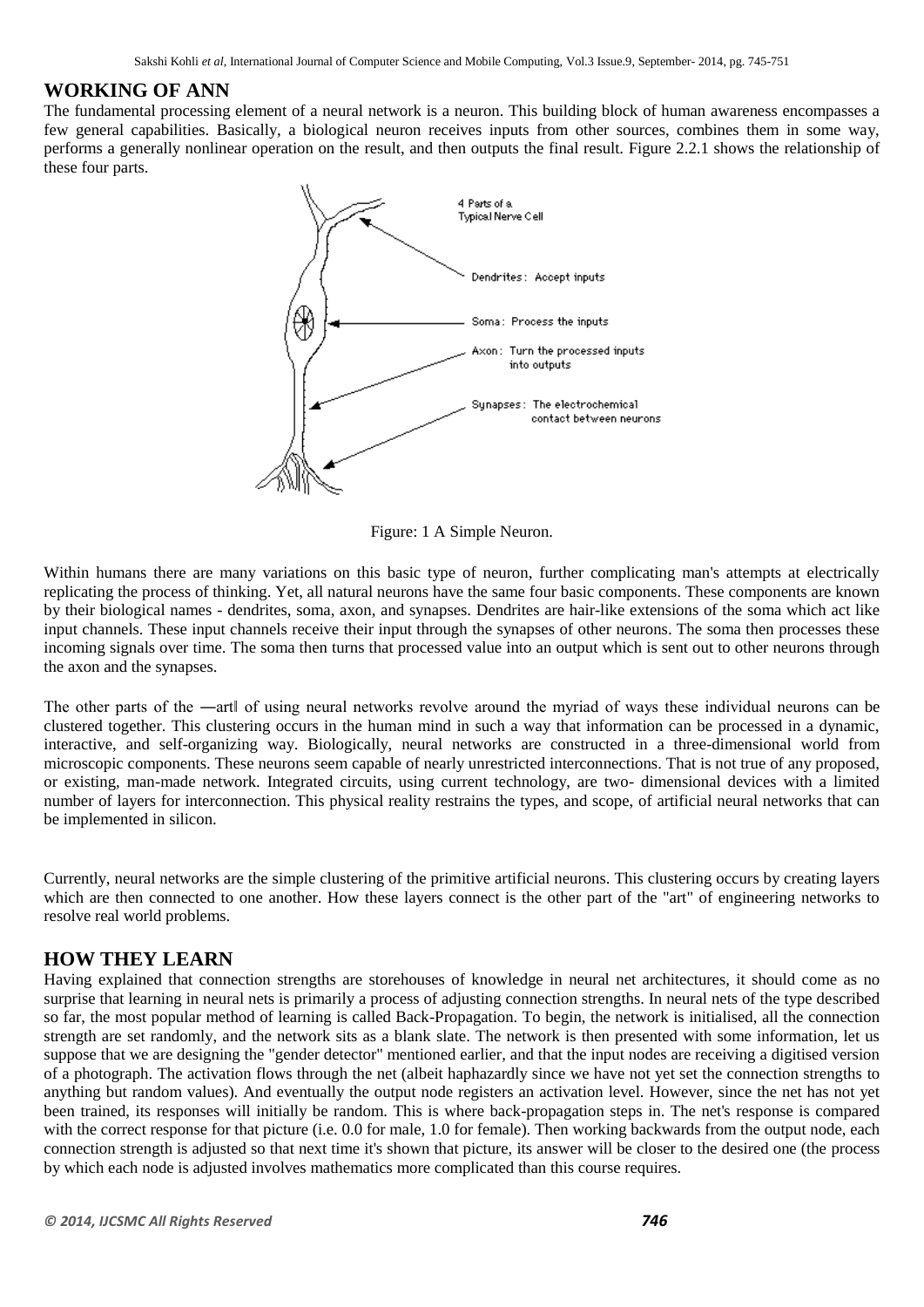#### **WORKING OF ANN**

The fundamental processing element of a neural network is a neuron. This building block of human awareness encompasses a few general capabilities. Basically, a biological neuron receives inputs from other sources, combines them in some way, performs a generally nonlinear operation on the result, and then outputs the final result. Figure 2.2.1 shows the relationship of these four parts.



Figure: 1 A Simple Neuron.

Within humans there are many variations on this basic type of neuron, further complicating man's attempts at electrically replicating the process of thinking. Yet, all natural neurons have the same four basic components. These components are known by their biological names - dendrites, soma, axon, and synapses. Dendrites are hair-like extensions of the soma which act like input channels. These input channels receive their input through the synapses of other neurons. The soma then processes these incoming signals over time. The soma then turns that processed value into an output which is sent out to other neurons through the axon and the synapses.

The other parts of the —artl of using neural networks revolve around the myriad of ways these individual neurons can be clustered together. This clustering occurs in the human mind in such a way that information can be processed in a dynamic, interactive, and self-organizing way. Biologically, neural networks are constructed in a three-dimensional world from microscopic components. These neurons seem capable of nearly unrestricted interconnections. That is not true of any proposed, or existing, man-made network. Integrated circuits, using current technology, are two- dimensional devices with a limited number of layers for interconnection. This physical reality restrains the types, and scope, of artificial neural networks that can be implemented in silicon.

Currently, neural networks are the simple clustering of the primitive artificial neurons. This clustering occurs by creating layers which are then connected to one another. How these layers connect is the other part of the "art" of engineering networks to resolve real world problems.

#### **HOW THEY LEARN**

Having explained that connection strengths are storehouses of knowledge in neural net architectures, it should come as no surprise that learning in neural nets is primarily a process of adjusting connection strengths. In neural nets of the type described so far, the most popular method of learning is called Back-Propagation. To begin, the network is initialised, all the connection strength are set randomly, and the network sits as a blank slate. The network is then presented with some information, let us suppose that we are designing the "gender detector" mentioned earlier, and that the input nodes are receiving a digitised version of a photograph. The activation flows through the net (albeit haphazardly since we have not yet set the connection strengths to anything but random values). And eventually the output node registers an activation level. However, since the net has not yet been trained, its responses will initially be random. This is where back-propagation steps in. The net's response is compared with the correct response for that picture (i.e. 0.0 for male, 1.0 for female). Then working backwards from the output node, each connection strength is adjusted so that next time it's shown that picture, its answer will be closer to the desired one (the process by which each node is adjusted involves mathematics more complicated than this course requires.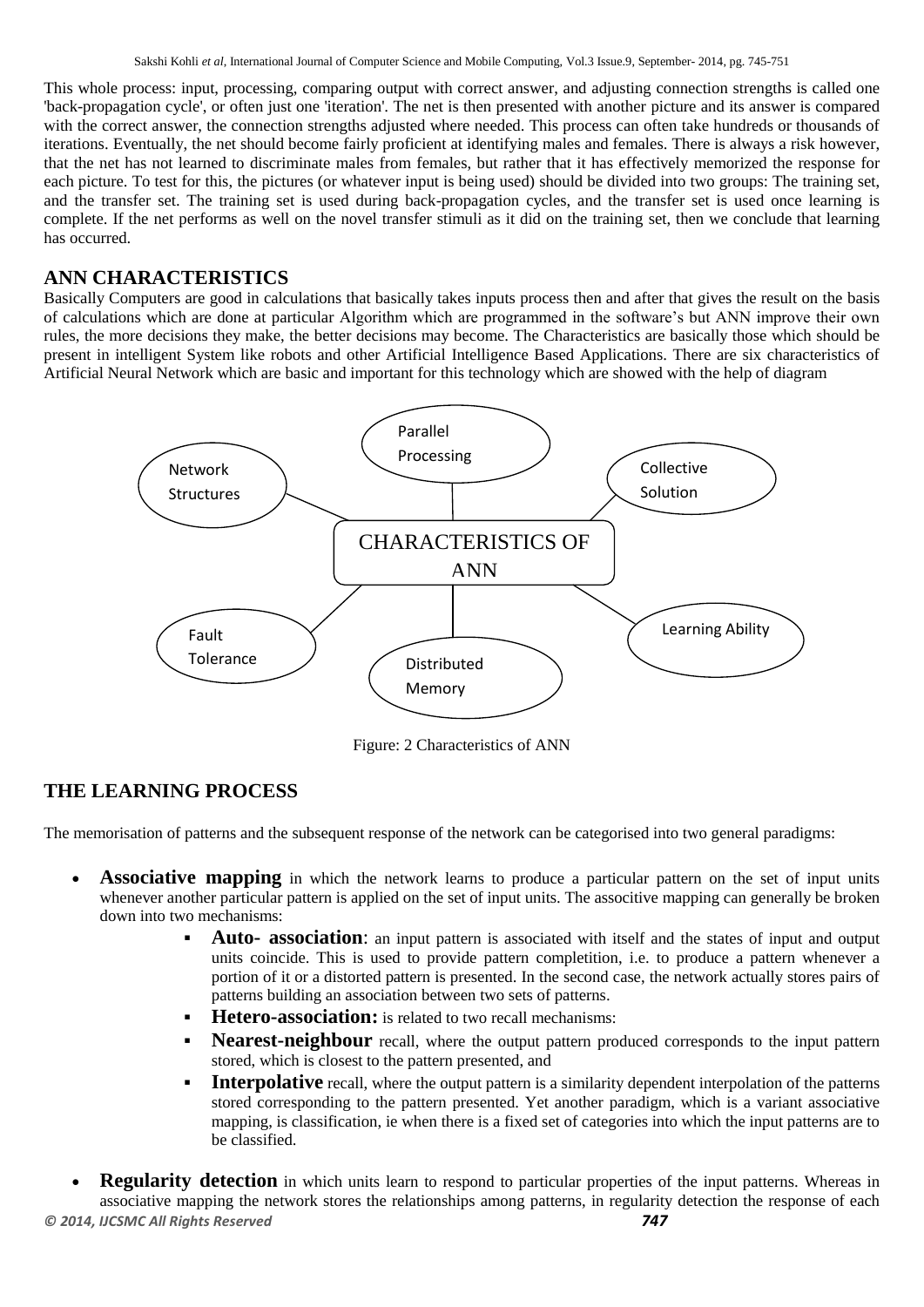This whole process: input, processing, comparing output with correct answer, and adjusting connection strengths is called one 'back-propagation cycle', or often just one 'iteration'. The net is then presented with another picture and its answer is compared with the correct answer, the connection strengths adjusted where needed. This process can often take hundreds or thousands of iterations. Eventually, the net should become fairly proficient at identifying males and females. There is always a risk however, that the net has not learned to discriminate males from females, but rather that it has effectively memorized the response for each picture. To test for this, the pictures (or whatever input is being used) should be divided into two groups: The training set, and the transfer set. The training set is used during back-propagation cycles, and the transfer set is used once learning is complete. If the net performs as well on the novel transfer stimuli as it did on the training set, then we conclude that learning has occurred.

#### **ANN CHARACTERISTICS**

Basically Computers are good in calculations that basically takes inputs process then and after that gives the result on the basis of calculations which are done at particular Algorithm which are programmed in the software's but ANN improve their own rules, the more decisions they make, the better decisions may become. The Characteristics are basically those which should be present in intelligent System like robots and other Artificial Intelligence Based Applications. There are six characteristics of Artificial Neural Network which are basic and important for this technology which are showed with the help of diagram



Figure: 2 Characteristics of ANN

# **THE LEARNING PROCESS**

The memorisation of patterns and the subsequent response of the network can be categorised into two general paradigms:

- **Associative mapping** in which the network learns to produce a particular pattern on the set of input units whenever another particular pattern is applied on the set of input units. The associtive mapping can generally be broken down into two mechanisms:
	- **Auto- association**: an input pattern is associated with itself and the states of input and output units coincide. This is used to provide pattern completition, i.e. to produce a pattern whenever a portion of it or a distorted pattern is presented. In the second case, the network actually stores pairs of patterns building an association between two sets of patterns.
	- **Hetero-association:** is related to two recall mechanisms:
	- **Nearest-neighbour** recall, where the output pattern produced corresponds to the input pattern stored, which is closest to the pattern presented, and
	- **Interpolative** recall, where the output pattern is a similarity dependent interpolation of the patterns stored corresponding to the pattern presented. Yet another paradigm, which is a variant associative mapping, is classification, ie when there is a fixed set of categories into which the input patterns are to be classified.
- *© 2014, IJCSMC All Rights Reserved 747* **Regularity detection** in which units learn to respond to particular properties of the input patterns. Whereas in associative mapping the network stores the relationships among patterns, in regularity detection the response of each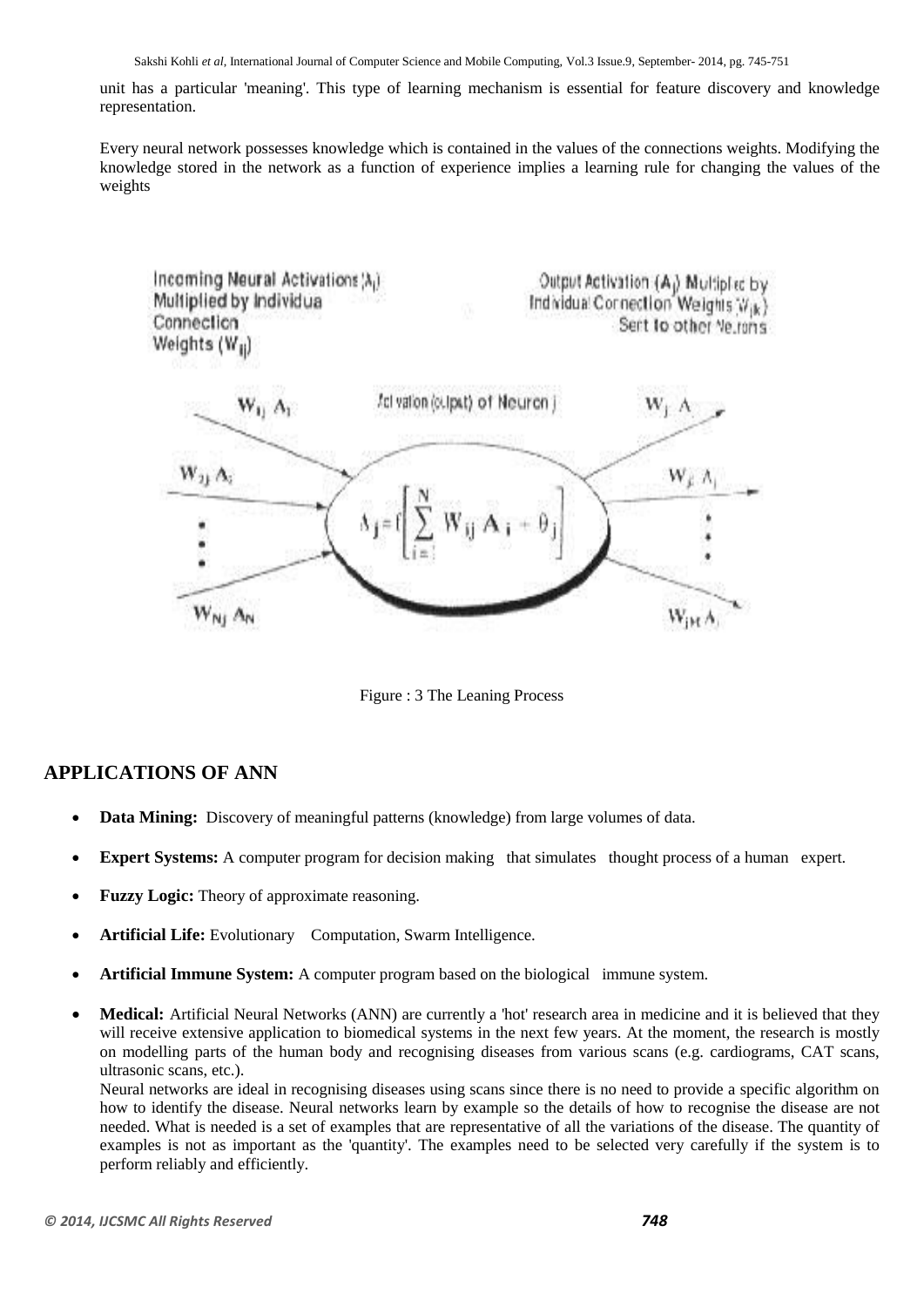unit has a particular 'meaning'. This type of learning mechanism is essential for feature discovery and knowledge representation.

Every neural network possesses knowledge which is contained in the values of the connections weights. Modifying the knowledge stored in the network as a function of experience implies a learning rule for changing the values of the weights



Figure : 3 The Leaning Process

#### **APPLICATIONS OF ANN**

- **Data Mining:** Discovery of meaningful patterns (knowledge) from large volumes of data.
- **Expert Systems:** A computer program for decision making that simulates thought process of a human expert.
- **Fuzzy Logic:** Theory of approximate reasoning.
- **Artificial Life:** Evolutionary Computation, Swarm Intelligence.
- **Artificial Immune System:** A computer program based on the biological immune system.
- **Medical:** Artificial Neural Networks (ANN) are currently a 'hot' research area in medicine and it is believed that they will receive extensive application to biomedical systems in the next few years. At the moment, the research is mostly on modelling parts of the human body and recognising diseases from various scans (e.g. cardiograms, CAT scans, ultrasonic scans, etc.).

Neural networks are ideal in recognising diseases using scans since there is no need to provide a specific algorithm on how to identify the disease. Neural networks learn by example so the details of how to recognise the disease are not needed. What is needed is a set of examples that are representative of all the variations of the disease. The quantity of examples is not as important as the 'quantity'. The examples need to be selected very carefully if the system is to perform reliably and efficiently.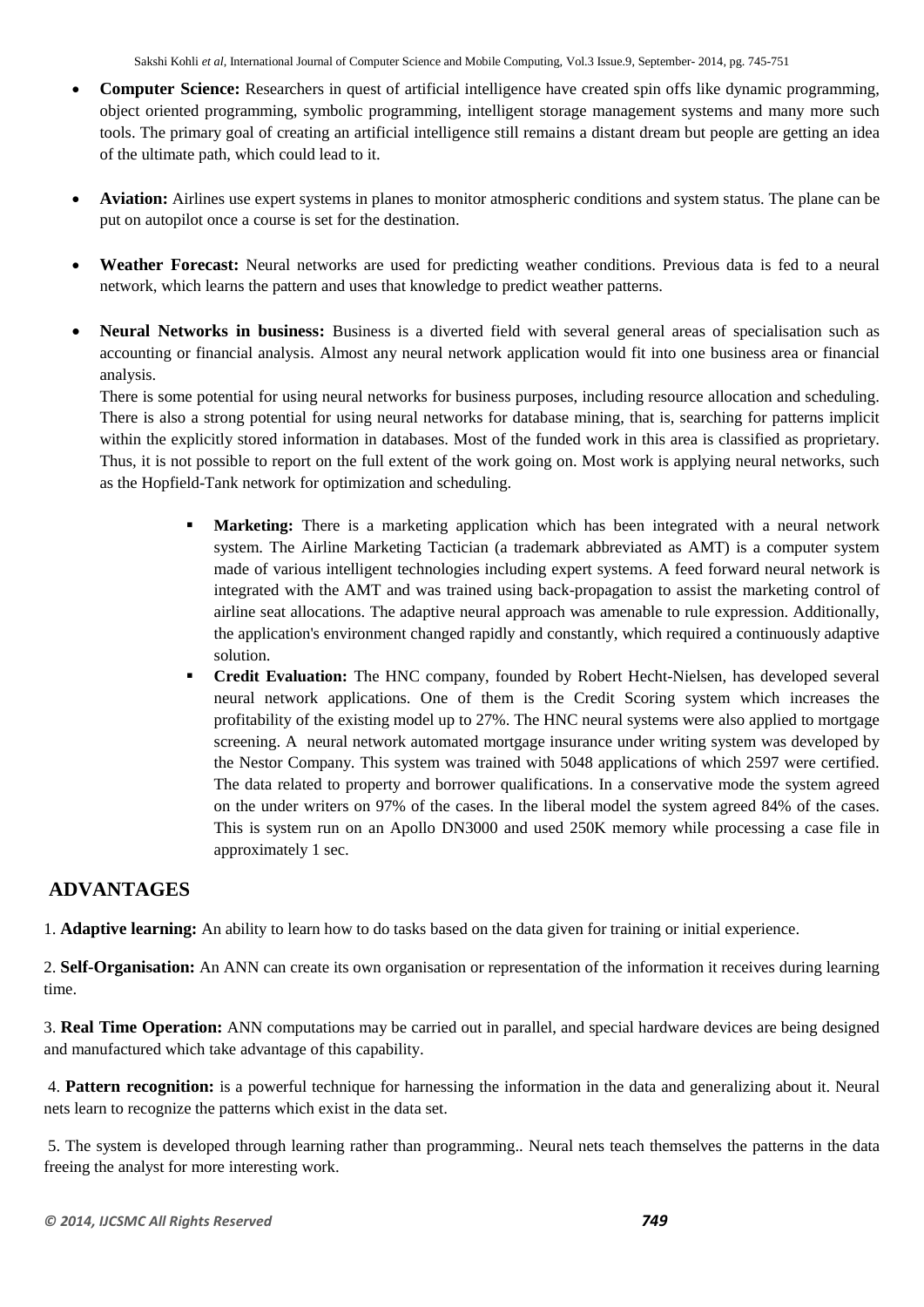Sakshi Kohli *et al*, International Journal of Computer Science and Mobile Computing, Vol.3 Issue.9, September- 2014, pg. 745-751

- **Computer Science:** Researchers in quest of artificial intelligence have created spin offs like dynamic programming, object oriented programming, symbolic programming, intelligent storage management systems and many more such tools. The primary goal of creating an artificial intelligence still remains a distant dream but people are getting an idea of the ultimate path, which could lead to it.
- **Aviation:** Airlines use expert systems in planes to monitor atmospheric conditions and system status. The plane can be put on autopilot once a course is set for the destination.
- **[Weather Forecast:](http://www.buzzle.com/articles/weather-forecast/)** Neural networks are used for predicting weather conditions. Previous data is fed to a neural network, which learns the pattern and uses that knowledge to predict weather patterns.
- **Neural Networks in business:** Business is a diverted field with several general areas of specialisation such as accounting or financial analysis. Almost any neural network application would fit into one business area or financial analysis.

There is some potential for using neural networks for business purposes, including resource allocation and scheduling. There is also a strong potential for using neural networks for database mining, that is, searching for patterns implicit within the explicitly stored information in databases. Most of the funded work in this area is classified as proprietary. Thus, it is not possible to report on the full extent of the work going on. Most work is applying neural networks, such as the Hopfield-Tank network for optimization and scheduling.

- **Marketing:** There is a marketing application which has been integrated with a neural network system. The Airline Marketing Tactician (a trademark abbreviated as AMT) is a computer system made of various intelligent technologies including expert systems. A feed forward neural network is integrated with the AMT and was trained using back-propagation to assist the marketing control of airline seat allocations. The adaptive neural approach was amenable to rule expression. Additionally, the application's environment changed rapidly and constantly, which required a continuously adaptive solution.
- **Credit Evaluation:** The HNC company, founded by Robert Hecht-Nielsen, has developed several neural network applications. One of them is the Credit Scoring system which increases the profitability of the existing model up to 27%. The HNC neural systems were also applied to mortgage screening. A neural network automated mortgage insurance under writing system was developed by the Nestor Company. This system was trained with 5048 applications of which 2597 were certified. The data related to property and borrower qualifications. In a conservative mode the system agreed on the under writers on 97% of the cases. In the liberal model the system agreed 84% of the cases. This is system run on an Apollo DN3000 and used 250K memory while processing a case file in approximately 1 sec.

# **ADVANTAGES**

1. **Adaptive learning:** An ability to learn how to do tasks based on the data given for training or initial experience.

2. **Self-Organisation:** An ANN can create its own organisation or representation of the information it receives during learning time.

3. **Real Time Operation:** ANN computations may be carried out in parallel, and special hardware devices are being designed and manufactured which take advantage of this capability.

4. **Pattern recognition:** is a powerful technique for harnessing the information in the data and generalizing about it. Neural nets learn to recognize the patterns which exist in the data set.

5. The system is developed through learning rather than programming.. Neural nets teach themselves the patterns in the data freeing the analyst for more interesting work.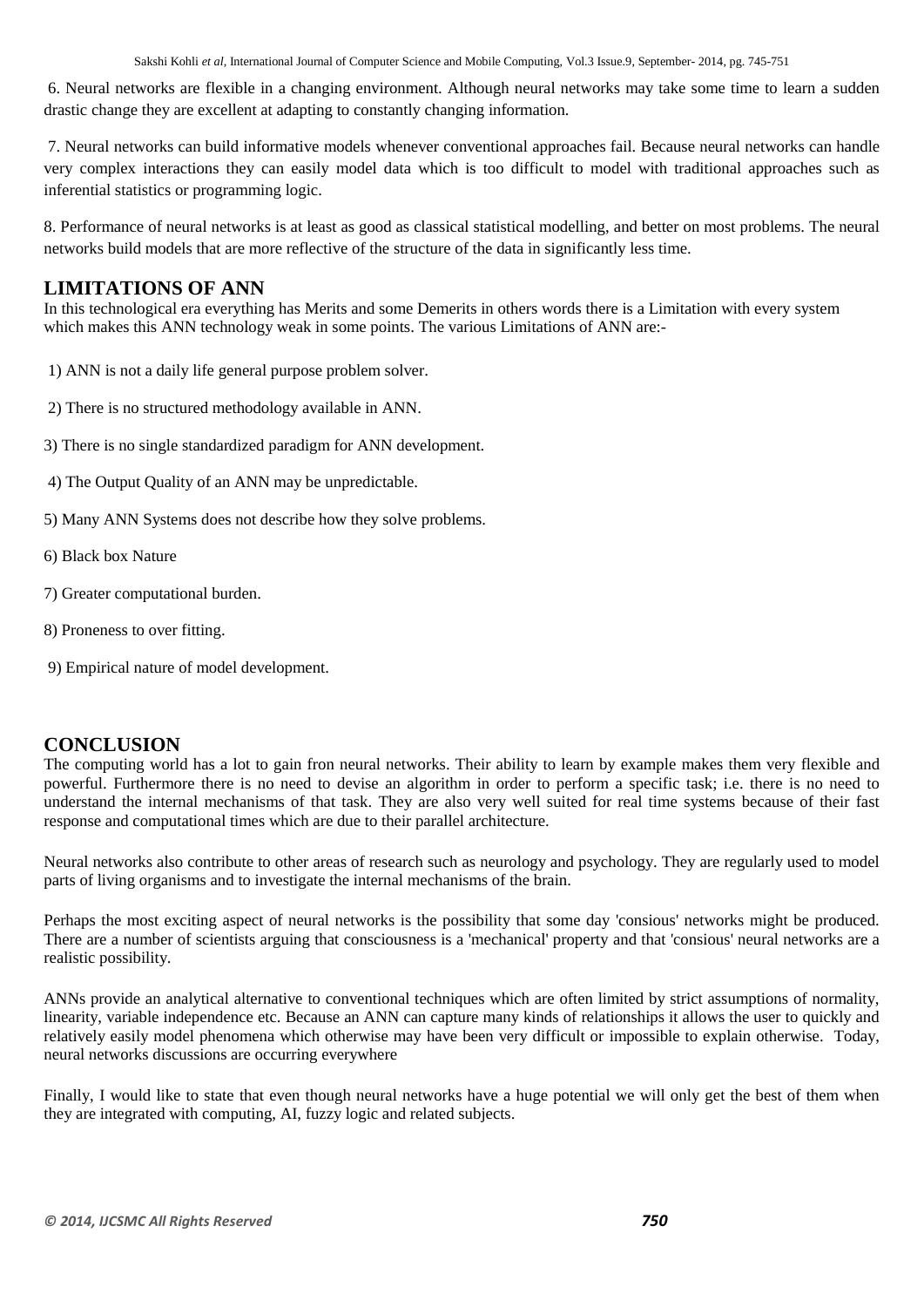Sakshi Kohli *et al*, International Journal of Computer Science and Mobile Computing, Vol.3 Issue.9, September- 2014, pg. 745-751

6. Neural networks are flexible in a changing environment. Although neural networks may take some time to learn a sudden drastic change they are excellent at adapting to constantly changing information.

7. Neural networks can build informative models whenever conventional approaches fail. Because neural networks can handle very complex interactions they can easily model data which is too difficult to model with traditional approaches such as inferential statistics or programming logic.

8. Performance of neural networks is at least as good as classical statistical modelling, and better on most problems. The neural networks build models that are more reflective of the structure of the data in significantly less time.

# **LIMITATIONS OF ANN**

In this technological era everything has Merits and some Demerits in others words there is a Limitation with every system which makes this ANN technology weak in some points. The various Limitations of ANN are:-

- 1) ANN is not a daily life general purpose problem solver.
- 2) There is no structured methodology available in ANN.
- 3) There is no single standardized paradigm for ANN development.
- 4) The Output Quality of an ANN may be unpredictable.
- 5) Many ANN Systems does not describe how they solve problems.
- 6) Black box Nature
- 7) Greater computational burden.
- 8) Proneness to over fitting.
- 9) Empirical nature of model development.

### **CONCLUSION**

The computing world has a lot to gain fron neural networks. Their ability to learn by example makes them very flexible and powerful. Furthermore there is no need to devise an algorithm in order to perform a specific task; i.e. there is no need to understand the internal mechanisms of that task. They are also very well suited for real time systems because of their fast response and computational times which are due to their parallel architecture.

Neural networks also contribute to other areas of research such as neurology and psychology. They are regularly used to model parts of living organisms and to investigate the internal mechanisms of the brain.

Perhaps the most exciting aspect of neural networks is the possibility that some day 'consious' networks might be produced. There are a number of scientists arguing that consciousness is a 'mechanical' property and that 'consious' neural networks are a realistic possibility.

ANNs provide an analytical alternative to conventional techniques which are often limited by strict assumptions of normality, linearity, variable independence etc. Because an ANN can capture many kinds of relationships it allows the user to quickly and relatively easily model phenomena which otherwise may have been very difficult or impossible to explain otherwise. Today, neural networks discussions are occurring everywhere

Finally, I would like to state that even though neural networks have a huge potential we will only get the best of them when they are integrated with computing, AI, fuzzy logic and related subjects.